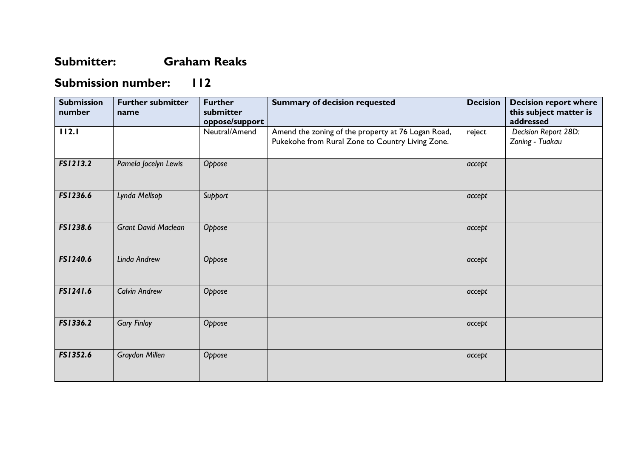## **Submitter: Graham Reaks**

## **Submission number: 112**

| <b>Submission</b><br>number | <b>Further submitter</b><br>name | <b>Further</b><br>submitter<br>oppose/support | <b>Summary of decision requested</b>                                                                   | <b>Decision</b> | <b>Decision report where</b><br>this subject matter is<br>addressed |
|-----------------------------|----------------------------------|-----------------------------------------------|--------------------------------------------------------------------------------------------------------|-----------------|---------------------------------------------------------------------|
| 112.1                       |                                  | Neutral/Amend                                 | Amend the zoning of the property at 76 Logan Road,<br>Pukekohe from Rural Zone to Country Living Zone. | reject          | Decision Report 28D:<br>Zoning - Tuakau                             |
| FS1213.2                    | Pamela Jocelyn Lewis             | Oppose                                        |                                                                                                        | accept          |                                                                     |
| FS1236.6                    | Lynda Mellsop                    | Support                                       |                                                                                                        | accept          |                                                                     |
| FS1238.6                    | <b>Grant David Maclean</b>       | Oppose                                        |                                                                                                        | accept          |                                                                     |
| FS1240.6                    | Linda Andrew                     | Oppose                                        |                                                                                                        | accept          |                                                                     |
| FS1241.6                    | <b>Calvin Andrew</b>             | Oppose                                        |                                                                                                        | accept          |                                                                     |
| FS1336.2                    | <b>Gary Finlay</b>               | Oppose                                        |                                                                                                        | accept          |                                                                     |
| FS1352.6                    | Graydon Millen                   | Oppose                                        |                                                                                                        | accept          |                                                                     |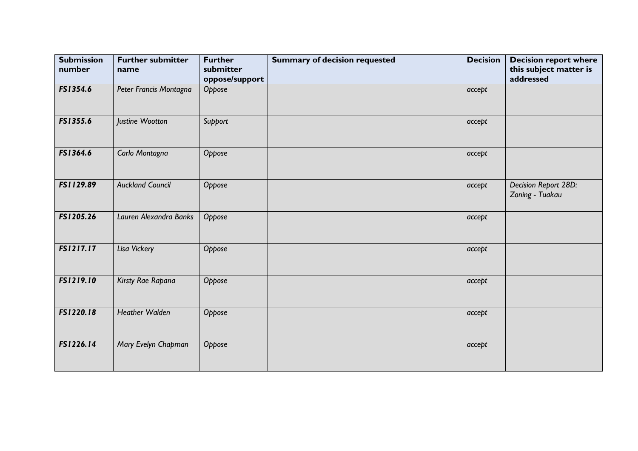| <b>Submission</b><br>number | <b>Further submitter</b><br>name | <b>Further</b><br>submitter<br>oppose/support | <b>Summary of decision requested</b> | <b>Decision</b> | <b>Decision report where</b><br>this subject matter is<br>addressed |
|-----------------------------|----------------------------------|-----------------------------------------------|--------------------------------------|-----------------|---------------------------------------------------------------------|
| FS1354.6                    | Peter Francis Montagna           | Oppose                                        |                                      | accept          |                                                                     |
| FS1355.6                    | Justine Wootton                  | Support                                       |                                      | accept          |                                                                     |
| FS1364.6                    | Carlo Montagna                   | Oppose                                        |                                      | accept          |                                                                     |
| FS1129.89                   | <b>Auckland Council</b>          | Oppose                                        |                                      | accept          | Decision Report 28D:<br>Zoning - Tuakau                             |
| FS1205.26                   | Lauren Alexandra Banks           | Oppose                                        |                                      | accept          |                                                                     |
| FS1217.17                   | Lisa Vickery                     | Oppose                                        |                                      | accept          |                                                                     |
| FS1219.10                   | Kirsty Rae Rapana                | Oppose                                        |                                      | accept          |                                                                     |
| FS1220.18                   | <b>Heather Walden</b>            | Oppose                                        |                                      | accept          |                                                                     |
| FS1226.14                   | Mary Evelyn Chapman              | Oppose                                        |                                      | accept          |                                                                     |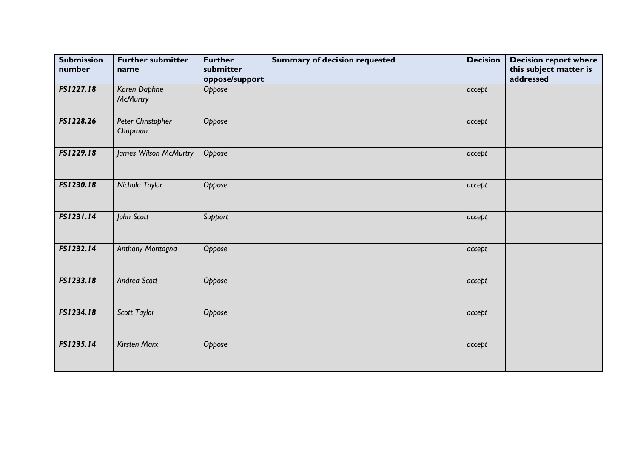| <b>Submission</b><br>number | <b>Further submitter</b><br>name | <b>Further</b><br>submitter<br>oppose/support | <b>Summary of decision requested</b> | <b>Decision</b> | <b>Decision report where</b><br>this subject matter is<br>addressed |
|-----------------------------|----------------------------------|-----------------------------------------------|--------------------------------------|-----------------|---------------------------------------------------------------------|
| FS1227.18                   | Karen Daphne<br><b>McMurtry</b>  | Oppose                                        |                                      | accept          |                                                                     |
| FS1228.26                   | Peter Christopher<br>Chapman     | Oppose                                        |                                      | accept          |                                                                     |
| FS1229.18                   | James Wilson McMurtry            | Oppose                                        |                                      | accept          |                                                                     |
| FS1230.18                   | Nichola Taylor                   | Oppose                                        |                                      | accept          |                                                                     |
| FS1231.14                   | John Scott                       | Support                                       |                                      | accept          |                                                                     |
| FS1232.14                   | Anthony Montagna                 | Oppose                                        |                                      | accept          |                                                                     |
| FS1233.18                   | Andrea Scott                     | Oppose                                        |                                      | accept          |                                                                     |
| FS1234.18                   | Scott Taylor                     | Oppose                                        |                                      | accept          |                                                                     |
| FS1235.14                   | <b>Kirsten Marx</b>              | Oppose                                        |                                      | accept          |                                                                     |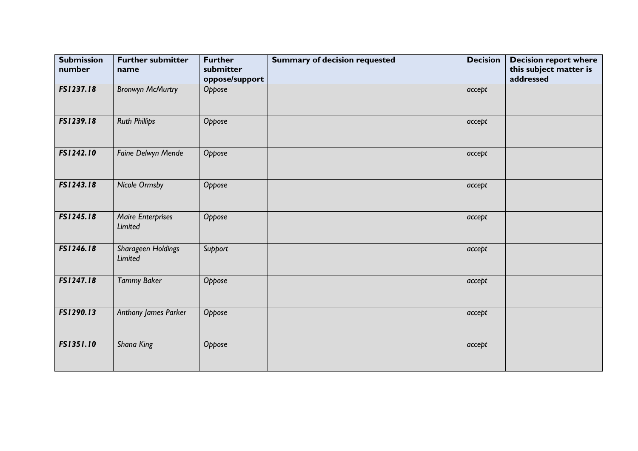| <b>Submission</b><br>number | <b>Further submitter</b><br>name     | <b>Further</b><br>submitter<br>oppose/support | <b>Summary of decision requested</b> | <b>Decision</b> | <b>Decision report where</b><br>this subject matter is<br>addressed |
|-----------------------------|--------------------------------------|-----------------------------------------------|--------------------------------------|-----------------|---------------------------------------------------------------------|
| FS1237.18                   | <b>Bronwyn McMurtry</b>              | Oppose                                        |                                      | accept          |                                                                     |
| FS1239.18                   | <b>Ruth Phillips</b>                 | Oppose                                        |                                      | accept          |                                                                     |
| FS1242.10                   | Faine Delwyn Mende                   | Oppose                                        |                                      | accept          |                                                                     |
| FS1243.18                   | <b>Nicole Ormsby</b>                 | Oppose                                        |                                      | accept          |                                                                     |
| FS1245.18                   | <b>Maire Enterprises</b><br>Limited  | Oppose                                        |                                      | accept          |                                                                     |
| FS1246.18                   | Sharageen Holdings<br><b>Limited</b> | Support                                       |                                      | accept          |                                                                     |
| FS1247.18                   | <b>Tammy Baker</b>                   | Oppose                                        |                                      | accept          |                                                                     |
| FS1290.13                   | <b>Anthony James Parker</b>          | Oppose                                        |                                      | accept          |                                                                     |
| FS1351.10                   | Shana King                           | Oppose                                        |                                      | accept          |                                                                     |